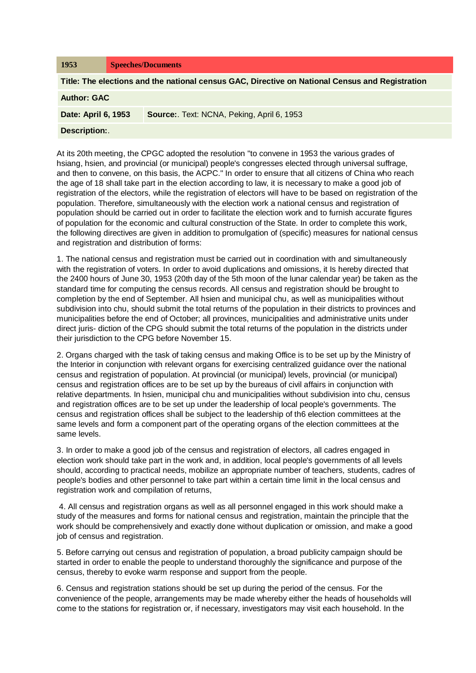| 1953                                                                                            | <b>Speeches/Documents</b>                 |
|-------------------------------------------------------------------------------------------------|-------------------------------------------|
| Title: The elections and the national census GAC, Directive on National Census and Registration |                                           |
| <b>Author: GAC</b>                                                                              |                                           |
| Date: April 6, 1953                                                                             | Source: Text: NCNA, Peking, April 6, 1953 |
| <b>Description:.</b>                                                                            |                                           |

At its 20th meeting, the CPGC adopted the resolution "to convene in 1953 the various grades of hsiang, hsien, and provincial (or municipal) people's congresses elected through universal suffrage, and then to convene, on this basis, the ACPC." In order to ensure that all citizens of China who reach the age of 18 shall take part in the election according to law, it is necessary to make a good job of registration of the electors, while the registration of electors will have to be based on registration of the population. Therefore, simultaneously with the election work a national census and registration of population should be carried out in order to facilitate the election work and to furnish accurate figures of population for the economic and cultural construction of the State. In order to complete this work, the following directives are given in addition to promulgation of (specific) measures for national census and registration and distribution of forms:

1. The national census and registration must be carried out in coordination with and simultaneously with the registration of voters. In order to avoid duplications and omissions, it Is hereby directed that the 2400 hours of June 30, 1953 (20th day of the 5th moon of the lunar calendar year) be taken as the standard time for computing the census records. All census and registration should be brought to completion by the end of September. All hsien and municipal chu, as well as municipalities without subdivision into chu, should submit the total returns of the population in their districts to provinces and municipalities before the end of October; all provinces, municipalities and administrative units under direct juris- diction of the CPG should submit the total returns of the population in the districts under their jurisdiction to the CPG before November 15.

2. Organs charged with the task of taking census and making Office is to be set up by the Ministry of the Interior in conjunction with relevant organs for exercising centralized guidance over the national census and registration of population. At provincial (or municipal) levels, provincial (or municipal) census and registration offices are to be set up by the bureaus of civil affairs in conjunction with relative departments. In hsien, municipal chu and municipalities without subdivision into chu, census and registration offices are to be set up under the leadership of local people's governments. The census and registration offices shall be subject to the leadership of th6 election committees at the same levels and form a component part of the operating organs of the election committees at the same levels.

3. In order to make a good job of the census and registration of electors, all cadres engaged in election work should take part in the work and, in addition, local people's governments of all levels should, according to practical needs, mobilize an appropriate number of teachers, students, cadres of people's bodies and other personnel to take part within a certain time limit in the local census and registration work and compilation of returns,

4. All census and registration organs as well as all personnel engaged in this work should make a study of the measures and forms for national census and registration, maintain the principle that the work should be comprehensively and exactly done without duplication or omission, and make a good job of census and registration.

5. Before carrying out census and registration of population, a broad publicity campaign should be started in order to enable the people to understand thoroughly the significance and purpose of the census, thereby to evoke warm response and support from the people.

6. Census and registration stations should be set up during the period of the census. For the convenience of the people, arrangements may be made whereby either the heads of households will come to the stations for registration or, if necessary, investigators may visit each household. In the